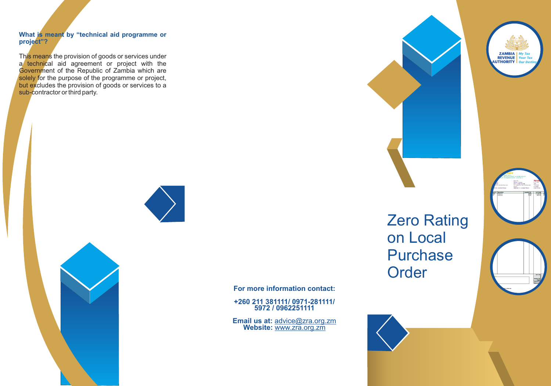# **What is meant by "technical aid programme or project"?**

This means the provision of goods or services under a technical aid agreement or project with the Government of the Republic of Zambia which are solely for the purpose of the programme or project, but excludes the provision of goods or services to a sub-contractor or third party.





**For more information contact:**

**+260 211 381111/ 0971-281111/ 5972 / 0962251111**

**Email us at:** advice@zra.org.zm **Website:** www.zra.org.zm

Zero Rating on Local Purchase



**Order**